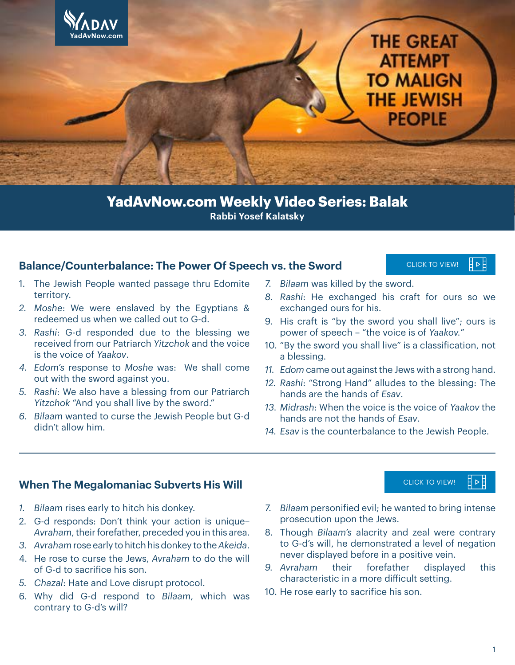

**Rabbi Yosef Kalatsky YadAvNow.com Weekly Video Series: Balak**

#### **Balance/Counterbalance: The Power Of Speech vs. the Sword**

- 1. The Jewish People wanted passage thru Edomite territory.
- *2. Moshe*: We were enslaved by the Egyptians & redeemed us when we called out to G-d.
- *3. Rashi*: G-d responded due to the blessing we received from our Patriarch *Yitzchok* and the voice is the voice of *Yaakov*.
- *4. Edom's* response to *Moshe* was: We shall come out with the sword against you.
- *5. Rashi*: We also have a blessing from our Patriarch *Yitzchok* "And you shall live by the sword."
- *6. Bilaam* wanted to curse the Jewish People but G-d didn't allow him.
- *7. Bilaam* was killed by the sword.
- *8. Rashi*: He exchanged his craft for ours so we exchanged ours for his.

[CLICK TO VIEW!](https://youtu.be/rKseUY79JFM)

Ħ ⊳ E

∄⊳E

[CLICK TO VIEW!](https://youtu.be/mV_JPd0AD9I)

- 9. His craft is "by the sword you shall live"; ours is power of speech – "the voice is of *Yaakov.*"
- 10. "By the sword you shall live" is a classification, not a blessing.
- *11. Edom* came out against the Jews with a strong hand.
- *12. Rashi*: "Strong Hand" alludes to the blessing: The hands are the hands of *Esav*.
- *13. Midrash*: When the voice is the voice of *Yaakov* the hands are not the hands of *Esav*.
- *14. Esav* is the counterbalance to the Jewish People.

#### **When The Megalomaniac Subverts His Will**

- *1. Bilaam* rises early to hitch his donkey.
- 2. G-d responds: Don't think your action is unique– *Avraham*, their forefather, preceded you in this area.
- *3. Avraham* rose early to hitch his donkey to the *Akeida*.
- 4. He rose to curse the Jews, *Avraham* to do the will of G-d to sacrifice his son.
- *5. Chazal*: Hate and Love disrupt protocol.
- 6. Why did G-d respond to *Bilaam*, which was contrary to G-d's will?
- *7. Bilaam* personified evil; he wanted to bring intense prosecution upon the Jews.
- 8. Though *Bilaam's* alacrity and zeal were contrary to G-d's will, he demonstrated a level of negation never displayed before in a positive vein.
- *9. Avraham* their forefather displayed this characteristic in a more difficult setting.
- 10. He rose early to sacrifice his son.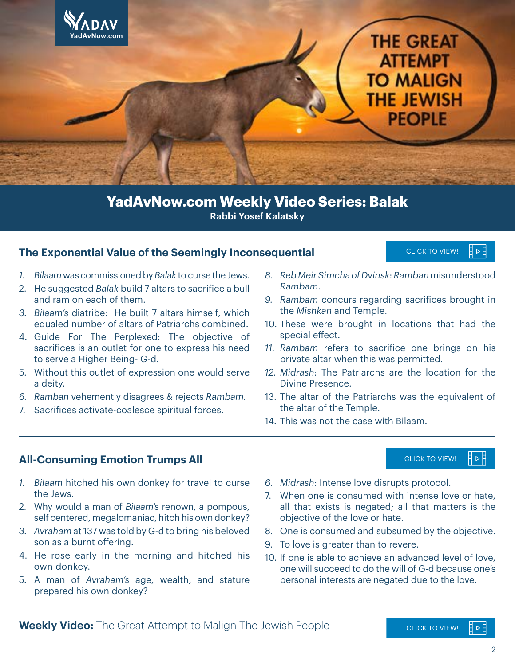

**Rabbi Yosef Kalatsky YadAvNow.com Weekly Video Series: Balak**

#### **The Exponential Value of the Seemingly Inconsequential**

- *1. Bilaam* was commissioned by *Balak* to curse the Jews.
- 2. He suggested *Balak* build 7 altars to sacrifice a bull and ram on each of them.
- *3. Bilaam's* diatribe: He built 7 altars himself, which equaled number of altars of Patriarchs combined.
- 4. Guide For The Perplexed: The objective of sacrifices is an outlet for one to express his need to serve a Higher Being- G-d.
- 5. Without this outlet of expression one would serve a deity.
- *6. Ramban* vehemently disagrees & rejects *Rambam.*
- 7. Sacrifices activate-coalesce spiritual forces.
- *8. Reb Meir Simcha of Dvinsk*: *Ramban* misunderstood *Rambam*.
- *9. Rambam* concurs regarding sacrifices brought in the *Mishkan* and Temple.
- 10. These were brought in locations that had the special effect.
- *11. Rambam* refers to sacrifice one brings on his private altar when this was permitted.
- *12. Midrash*: The Patriarchs are the location for the Divine Presence.
- 13. The altar of the Patriarchs was the equivalent of the altar of the Temple.
- 14. This was not the case with Bilaam.

#### **All-Consuming Emotion Trumps All**

- *1. Bilaam* hitched his own donkey for travel to curse the Jews.
- 2. Why would a man of *Bilaam's* renown, a pompous, self centered, megalomaniac, hitch his own donkey?
- *3. Avraham* at 137 was told by G-d to bring his beloved son as a burnt offering.
- 4. He rose early in the morning and hitched his own donkey.
- 5. A man of *Avraham's* age, wealth, and stature prepared his own donkey?
- *6. Midrash*: Intense love disrupts protocol.
- 7. When one is consumed with intense love or hate, all that exists is negated; all that matters is the objective of the love or hate.
- 8. One is consumed and subsumed by the objective.
- 9. To love is greater than to revere.
- 10. If one is able to achieve an advanced level of love, one will succeed to do the will of G-d because one's personal interests are negated due to the love.

[CLICK TO VIEW!](https://youtu.be/8JRbTSR1zgE) 目▷目

[CLICK TO VIEW!](https://youtu.be/u9ZBr7oa_8A)

⋕⊳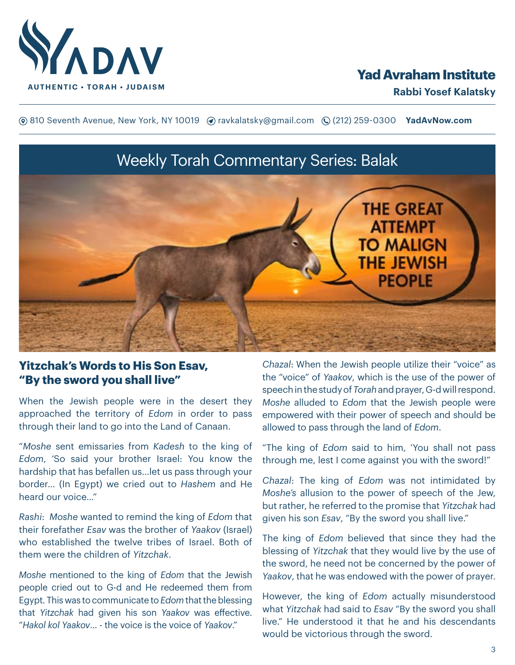

## **Yad Avraham Institute**

**(**® 810 Seventh Avenue, New York, NY 10019 (? ravkalatsky@gmail.com (2(212) 259-0300 **YadAvNow.com** 

# Weekly Torah Commentary Series: Balak



## **Yitzchak's Words to His Son Esav, "By the sword you shall live"**

When the Jewish people were in the desert they approached the territory of *Edom* in order to pass through their land to go into the Land of Canaan.

"*Moshe* sent emissaries from *Kadesh* to the king of *Edom*, 'So said your brother Israel: You know the hardship that has befallen us…let us pass through your border… (In Egypt) we cried out to *Hashem* and He heard our voice…"

*Rashi*: *Moshe* wanted to remind the king of *Edom* that their forefather *Esav* was the brother of *Yaakov* (Israel) who established the twelve tribes of Israel. Both of them were the children of *Yitzchak*.

*Moshe* mentioned to the king of *Edom* that the Jewish people cried out to G-d and He redeemed them from Egypt. This was to communicate to *Edom* that the blessing that *Yitzchak* had given his son *Yaakov* was effective. "*Hakol kol Yaakov*… - the voice is the voice of *Yaakov*."

*Chazal*: When the Jewish people utilize their "voice" as the "voice" of *Yaakov*, which is the use of the power of speech in the study of *Torah* and prayer, G-d will respond. *Moshe* alluded to *Edom* that the Jewish people were empowered with their power of speech and should be allowed to pass through the land of *Edom*.

"The king of *Edom* said to him, 'You shall not pass through me, lest I come against you with the sword!"

*Chazal*: The king of *Edom* was not intimidated by *Moshe's* allusion to the power of speech of the Jew, but rather, he referred to the promise that *Yitzchak* had given his son *Esav*, "By the sword you shall live."

The king of *Edom* believed that since they had the blessing of *Yitzchak* that they would live by the use of the sword, he need not be concerned by the power of *Yaakov*, that he was endowed with the power of prayer.

However, the king of *Edom* actually misunderstood what *Yitzchak* had said to *Esav* "By the sword you shall live." He understood it that he and his descendants would be victorious through the sword.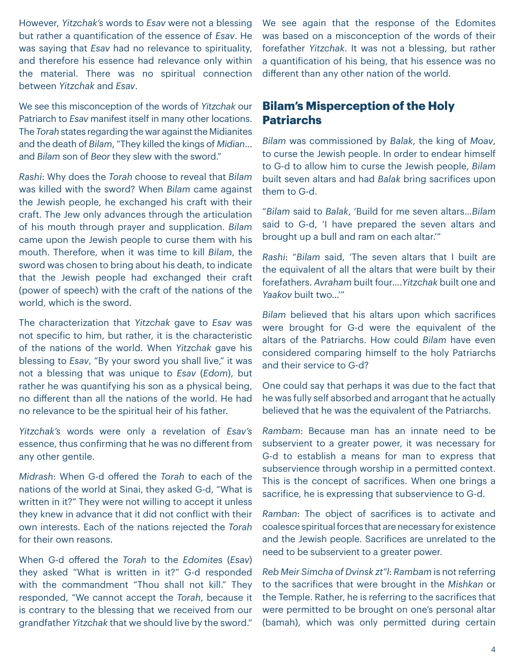However, *Yitzchak's* words to *Esav* were not a blessing but rather a quantification of the essence of *Esav*. He was saying that *Esav* had no relevance to spirituality, and therefore his essence had relevance only within the material. There was no spiritual connection between *Yitzchak* and *Esav*.

We see this misconception of the words of *Yitzchak* our Patriarch to *Esav* manifest itself in many other locations. The *Torah* states regarding the war against the Midianites and the death of *Bilam*, "They killed the kings of *Midian*… and *Bilam* son of *Beor* they slew with the sword."

*Rashi*: Why does the *Torah* choose to reveal that *Bilam* was killed with the sword? When *Bilam* came against the Jewish people, he exchanged his craft with their craft. The Jew only advances through the articulation of his mouth through prayer and supplication. *Bilam* came upon the Jewish people to curse them with his mouth. Therefore, when it was time to kill *Bilam*, the sword was chosen to bring about his death, to indicate that the Jewish people had exchanged their craft (power of speech) with the craft of the nations of the world, which is the sword.

The characterization that *Yitzchak* gave to *Esav* was not specific to him, but rather, it is the characteristic of the nations of the world. When *Yitzchak* gave his blessing to *Esav*, "By your sword you shall live," it was not a blessing that was unique to *Esav* (*Edom*), but rather he was quantifying his son as a physical being, no different than all the nations of the world. He had no relevance to be the spiritual heir of his father.

*Yitzchak's* words were only a revelation of *Esav's* essence, thus confirming that he was no different from any other gentile.

*Midrash*: When G-d offered the *Torah* to each of the nations of the world at Sinai, they asked G-d, "What is written in it?" They were not willing to accept it unless they knew in advance that it did not conflict with their own interests. Each of the nations rejected the *Torah* for their own reasons.

When G-d offered the *Torah* to the *Edomites* (*Esav*) they asked "What is written in it?" G-d responded with the commandment "Thou shall not kill." They responded, "We cannot accept the *Torah*, because it is contrary to the blessing that we received from our grandfather *Yitzchak* that we should live by the sword."

We see again that the response of the Edomites was based on a misconception of the words of their forefather *Yitzchak*. It was not a blessing, but rather a quantification of his being, that his essence was no different than any other nation of the world.

## **Bilam's Misperception of the Holy Patriarchs**

*Bilam* was commissioned by *Balak*, the king of *Moav*, to curse the Jewish people. In order to endear himself to G-d to allow him to curse the Jewish people, *Bilam* built seven altars and had *Balak* bring sacrifices upon them to G-d.

"*Bilam* said to *Balak*, 'Build for me seven altars…*Bilam* said to G-d, 'I have prepared the seven altars and brought up a bull and ram on each altar.'"

*Rashi*: "*Bilam* said, 'The seven altars that I built are the equivalent of all the altars that were built by their forefathers. *Avraham* built four….*Yitzchak* built one and *Yaakov* built two…'"

*Bilam* believed that his altars upon which sacrifices were brought for G-d were the equivalent of the altars of the Patriarchs. How could *Bilam* have even considered comparing himself to the holy Patriarchs and their service to G-d?

One could say that perhaps it was due to the fact that he was fully self absorbed and arrogant that he actually believed that he was the equivalent of the Patriarchs.

*Rambam*: Because man has an innate need to be subservient to a greater power, it was necessary for G-d to establish a means for man to express that subservience through worship in a permitted context. This is the concept of sacrifices. When one brings a sacrifice, he is expressing that subservience to G-d.

*Ramban*: The object of sacrifices is to activate and coalesce spiritual forces that are necessary for existence and the Jewish people. Sacrifices are unrelated to the need to be subservient to a greater power.

*Reb Meir Simcha of Dvinsk zt"l*: *Rambam* is not referring to the sacrifices that were brought in the *Mishkan* or the Temple. Rather, he is referring to the sacrifices that were permitted to be brought on one's personal altar (bamah), which was only permitted during certain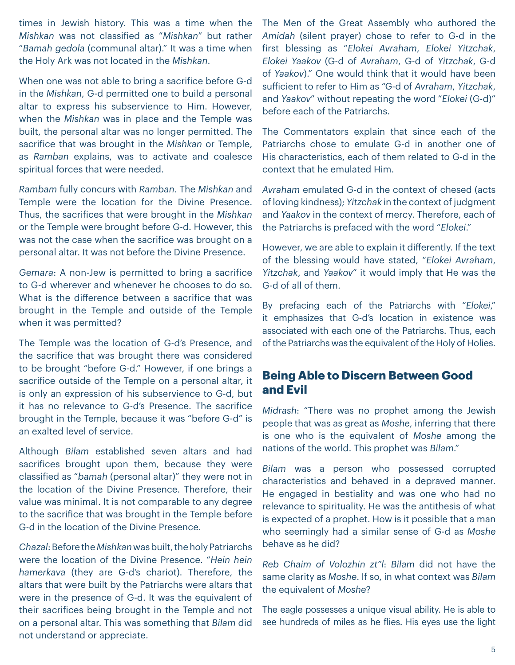times in Jewish history. This was a time when the *Mishkan* was not classified as "*Mishkan*" but rather "*Bamah gedola* (communal altar)." It was a time when the Holy Ark was not located in the *Mishkan*.

When one was not able to bring a sacrifice before G-d in the *Mishkan*, G-d permitted one to build a personal altar to express his subservience to Him. However, when the *Mishkan* was in place and the Temple was built, the personal altar was no longer permitted. The sacrifice that was brought in the *Mishkan* or Temple, as *Ramban* explains, was to activate and coalesce spiritual forces that were needed.

*Rambam* fully concurs with *Ramban*. The *Mishkan* and Temple were the location for the Divine Presence. Thus, the sacrifices that were brought in the *Mishkan* or the Temple were brought before G-d. However, this was not the case when the sacrifice was brought on a personal altar. It was not before the Divine Presence.

*Gemara*: A non-Jew is permitted to bring a sacrifice to G-d wherever and whenever he chooses to do so. What is the difference between a sacrifice that was brought in the Temple and outside of the Temple when it was permitted?

The Temple was the location of G-d's Presence, and the sacrifice that was brought there was considered to be brought "before G-d." However, if one brings a sacrifice outside of the Temple on a personal altar, it is only an expression of his subservience to G-d, but it has no relevance to G-d's Presence. The sacrifice brought in the Temple, because it was "before G-d" is an exalted level of service.

Although *Bilam* established seven altars and had sacrifices brought upon them, because they were classified as "*bamah* (personal altar)" they were not in the location of the Divine Presence. Therefore, their value was minimal. It is not comparable to any degree to the sacrifice that was brought in the Temple before G-d in the location of the Divine Presence.

*Chazal*: Before the *Mishkan* was built, the holy Patriarchs were the location of the Divine Presence. "*Hein hein hamerkava* (they are G-d's chariot). Therefore, the altars that were built by the Patriarchs were altars that were in the presence of G-d. It was the equivalent of their sacrifices being brought in the Temple and not on a personal altar. This was something that *Bilam* did not understand or appreciate.

The Men of the Great Assembly who authored the *Amidah* (silent prayer) chose to refer to G-d in the first blessing as "*Elokei Avraham*, *Elokei Yitzchak*, *Elokei Yaakov* (G-d of *Avraham*, G-d of *Yitzchak*, G-d of *Yaakov*)." One would think that it would have been sufficient to refer to Him as "G-d of *Avraham*, *Yitzchak*, and *Yaakov*" without repeating the word "*Elokei* (G-d)" before each of the Patriarchs.

The Commentators explain that since each of the Patriarchs chose to emulate G-d in another one of His characteristics, each of them related to G-d in the context that he emulated Him.

*Avraham* emulated G-d in the context of chesed (acts of loving kindness); *Yitzchak* in the context of judgment and *Yaakov* in the context of mercy. Therefore, each of the Patriarchs is prefaced with the word "*Elokei*."

However, we are able to explain it differently. If the text of the blessing would have stated, "*Elokei Avraham*, *Yitzchak*, and *Yaakov*" it would imply that He was the G-d of all of them.

By prefacing each of the Patriarchs with "*Elokei*," it emphasizes that G-d's location in existence was associated with each one of the Patriarchs. Thus, each of the Patriarchs was the equivalent of the Holy of Holies.

## **Being Able to Discern Between Good and Evil**

*Midrash*: "There was no prophet among the Jewish people that was as great as *Moshe*, inferring that there is one who is the equivalent of *Moshe* among the nations of the world. This prophet was *Bilam*."

*Bilam* was a person who possessed corrupted characteristics and behaved in a depraved manner. He engaged in bestiality and was one who had no relevance to spirituality. He was the antithesis of what is expected of a prophet. How is it possible that a man who seemingly had a similar sense of G-d as *Moshe* behave as he did?

*Reb Chaim of Volozhin zt"l*: *Bilam* did not have the same clarity as *Moshe*. If so, in what context was *Bilam* the equivalent of *Moshe*?

The eagle possesses a unique visual ability. He is able to see hundreds of miles as he flies. His eyes use the light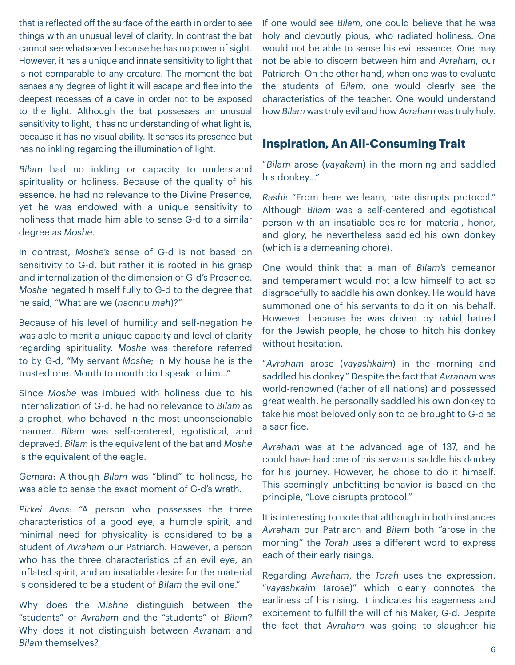that is reflected off the surface of the earth in order to see things with an unusual level of clarity. In contrast the bat cannot see whatsoever because he has no power of sight. However, it has a unique and innate sensitivity to light that is not comparable to any creature. The moment the bat senses any degree of light it will escape and flee into the deepest recesses of a cave in order not to be exposed to the light. Although the bat possesses an unusual sensitivity to light, it has no understanding of what light is, because it has no visual ability. It senses its presence but has no inkling regarding the illumination of light.

*Bilam* had no inkling or capacity to understand spirituality or holiness. Because of the quality of his essence, he had no relevance to the Divine Presence, yet he was endowed with a unique sensitivity to holiness that made him able to sense G-d to a similar degree as *Moshe*.

In contrast, *Moshe's* sense of G-d is not based on sensitivity to G-d, but rather it is rooted in his grasp and internalization of the dimension of G-d's Presence. *Moshe* negated himself fully to G-d to the degree that he said, "What are we (*nachnu mah*)?"

Because of his level of humility and self-negation he was able to merit a unique capacity and level of clarity regarding spirituality. *Moshe* was therefore referred to by G-d, "My servant *Moshe*; in My house he is the trusted one. Mouth to mouth do I speak to him…"

Since *Moshe* was imbued with holiness due to his internalization of G-d, he had no relevance to *Bilam* as a prophet, who behaved in the most unconscionable manner. *Bilam* was self-centered, egotistical, and depraved. *Bilam* is the equivalent of the bat and *Moshe* is the equivalent of the eagle.

*Gemara*: Although *Bilam* was "blind" to holiness, he was able to sense the exact moment of G-d's wrath.

*Pirkei Avos*: "A person who possesses the three characteristics of a good eye, a humble spirit, and minimal need for physicality is considered to be a student of *Avraham* our Patriarch. However, a person who has the three characteristics of an evil eve, an inflated spirit, and an insatiable desire for the material is considered to be a student of *Bilam* the evil one."

Why does the *Mishna* distinguish between the "students" of *Avraham* and the "students" of *Bilam*? Why does it not distinguish between *Avraham* and *Bilam* themselves?

If one would see *Bilam*, one could believe that he was holy and devoutly pious, who radiated holiness. One would not be able to sense his evil essence. One may not be able to discern between him and *Avraham*, our Patriarch. On the other hand, when one was to evaluate the students of *Bilam*, one would clearly see the characteristics of the teacher. One would understand how *Bilam* was truly evil and how *Avraham* was truly holy.

### **Inspiration, An All-Consuming Trait**

"*Bilam* arose (*vayakam*) in the morning and saddled his donkey…"

*Rashi*: "From here we learn, hate disrupts protocol." Although *Bilam* was a self-centered and egotistical person with an insatiable desire for material, honor, and glory, he nevertheless saddled his own donkey (which is a demeaning chore).

One would think that a man of *Bilam's* demeanor and temperament would not allow himself to act so disgracefully to saddle his own donkey. He would have summoned one of his servants to do it on his behalf. However, because he was driven by rabid hatred for the Jewish people, he chose to hitch his donkey without hesitation.

"*Avraham* arose (*vayashkaim*) in the morning and saddled his donkey." Despite the fact that *Avraham* was world-renowned (father of all nations) and possessed great wealth, he personally saddled his own donkey to take his most beloved only son to be brought to G-d as a sacrifice.

*Avraham* was at the advanced age of 137, and he could have had one of his servants saddle his donkey for his journey. However, he chose to do it himself. This seemingly unbefitting behavior is based on the principle, "Love disrupts protocol."

It is interesting to note that although in both instances *Avraham* our Patriarch and *Bilam* both "arose in the morning" the *Torah* uses a different word to express each of their early risings.

Regarding *Avraham*, the *Torah* uses the expression, "*vayashkaim* (arose)" which clearly connotes the earliness of his rising. It indicates his eagerness and excitement to fulfill the will of his Maker, G-d. Despite the fact that *Avraham* was going to slaughter his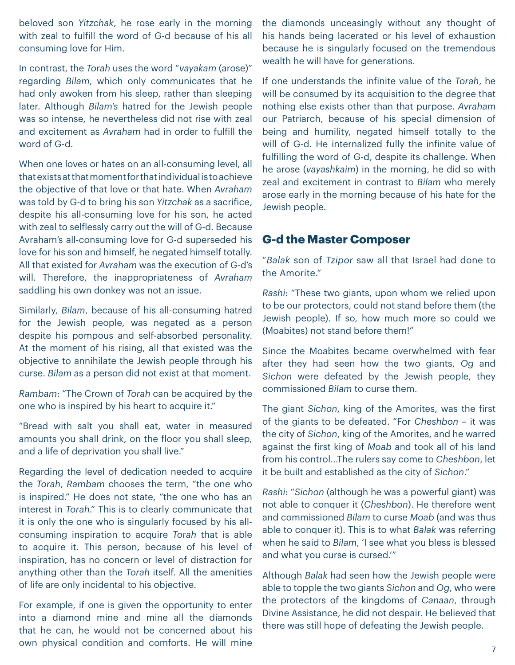beloved son *Yitzchak*, he rose early in the morning with zeal to fulfill the word of G-d because of his all consuming love for Him.

In contrast, the *Torah* uses the word "*vayakam* (arose)" regarding *Bilam*, which only communicates that he had only awoken from his sleep, rather than sleeping later. Although *Bilam's* hatred for the Jewish people was so intense, he nevertheless did not rise with zeal and excitement as *Avraham* had in order to fulfill the word of G-d.

When one loves or hates on an all-consuming level, all that exists at that moment for that individual is to achieve the objective of that love or that hate. When *Avraham* was told by G-d to bring his son *Yitzchak* as a sacrifice, despite his all-consuming love for his son, he acted with zeal to selflessly carry out the will of G-d. Because Avraham's all-consuming love for G-d superseded his love for his son and himself, he negated himself totally. All that existed for *Avraham* was the execution of G-d's will. Therefore, the inappropriateness of *Avraham* saddling his own donkey was not an issue.

Similarly, *Bilam*, because of his all-consuming hatred for the Jewish people, was negated as a person despite his pompous and self-absorbed personality. At the moment of his rising, all that existed was the objective to annihilate the Jewish people through his curse. *Bilam* as a person did not exist at that moment.

*Rambam*: "The Crown of *Torah* can be acquired by the one who is inspired by his heart to acquire it."

"Bread with salt you shall eat, water in measured amounts you shall drink, on the floor you shall sleep, and a life of deprivation you shall live."

Regarding the level of dedication needed to acquire the *Torah*, *Rambam* chooses the term, "the one who is inspired." He does not state, "the one who has an interest in *Torah*." This is to clearly communicate that it is only the one who is singularly focused by his allconsuming inspiration to acquire *Torah* that is able to acquire it. This person, because of his level of inspiration, has no concern or level of distraction for anything other than the *Torah* itself. All the amenities of life are only incidental to his objective.

For example, if one is given the opportunity to enter into a diamond mine and mine all the diamonds that he can, he would not be concerned about his own physical condition and comforts. He will mine

the diamonds unceasingly without any thought of his hands being lacerated or his level of exhaustion because he is singularly focused on the tremendous wealth he will have for generations.

If one understands the infinite value of the *Torah*, he will be consumed by its acquisition to the degree that nothing else exists other than that purpose. *Avraham* our Patriarch, because of his special dimension of being and humility, negated himself totally to the will of G-d. He internalized fully the infinite value of fulfilling the word of G-d, despite its challenge. When he arose (*vayashkaim*) in the morning, he did so with zeal and excitement in contrast to *Bilam* who merely arose early in the morning because of his hate for the Jewish people.

## **G-d the Master Composer**

"*Balak* son of *Tzipor* saw all that Israel had done to the Amorite."

*Rashi*: "These two giants, upon whom we relied upon to be our protectors, could not stand before them (the Jewish people). If so, how much more so could we (Moabites) not stand before them!"

Since the Moabites became overwhelmed with fear after they had seen how the two giants, *Og* and *Sichon* were defeated by the Jewish people, they commissioned *Bilam* to curse them.

The giant *Sichon*, king of the Amorites, was the first of the giants to be defeated. "For *Cheshbon* – it was the city of *Sichon*, king of the Amorites, and he warred against the first king of *Moab* and took all of his land from his control...The rulers say come to *Cheshbon*, let it be built and established as the city of *Sichon*."

*Rashi*: "*Sichon* (although he was a powerful giant) was not able to conquer it (*Cheshbon*). He therefore went and commissioned *Bilam* to curse *Moab* (and was thus able to conquer it). This is to what *Balak* was referring when he said to *Bilam*, 'I see what you bless is blessed and what you curse is cursed.'"

Although *Balak* had seen how the Jewish people were able to topple the two giants *Sichon* and *Og*, who were the protectors of the kingdoms of *Canaan*, through Divine Assistance, he did not despair. He believed that there was still hope of defeating the Jewish people.